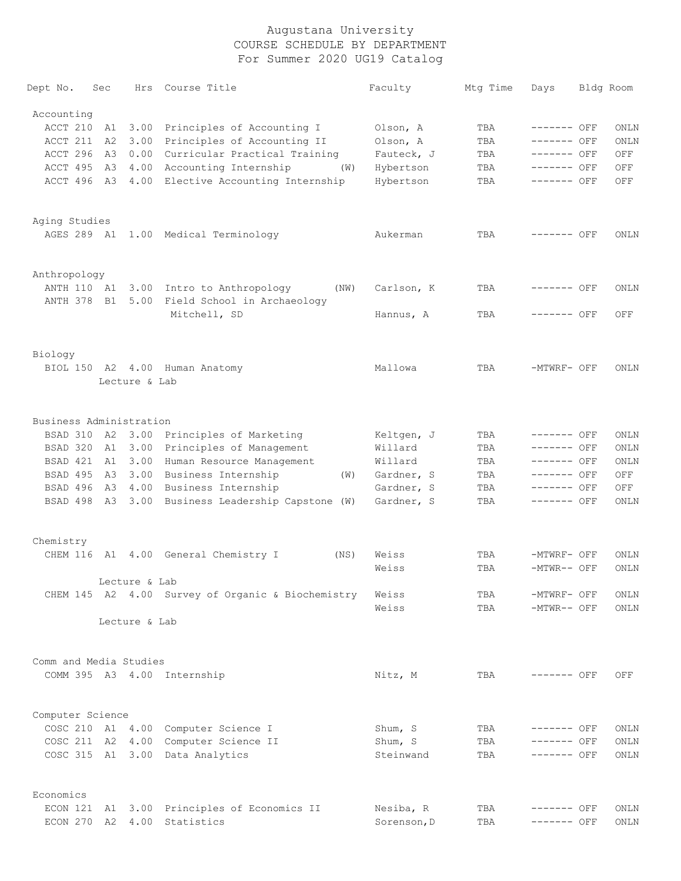| Dept No.                | Sec  |               | Hrs Course Title                                  | Faculty     | Mtq Time | Days         | Bldg Room |
|-------------------------|------|---------------|---------------------------------------------------|-------------|----------|--------------|-----------|
| Accounting              |      |               |                                                   |             |          |              |           |
| ACCT 210                | A1   |               | 3.00 Principles of Accounting I                   | Olson, A    | TBA      | $------$ OFF | ONLN      |
| ACCT 211                | A2   | 3.00          | Principles of Accounting II                       | Olson, A    | TBA      | ------- OFF  | ONLN      |
| ACCT 296                | A3   |               | 0.00 Curricular Practical Training                | Fauteck, J  | TBA      | ------- OFF  | OFF       |
| ACCT 495                | A3   |               | 4.00 Accounting Internship<br>(W)                 | Hybertson   | TBA      | ------- OFF  | OFF       |
| ACCT 496 A3             |      |               | 4.00 Elective Accounting Internship               | Hybertson   | TBA      | $------$ OFF | OFF       |
|                         |      |               |                                                   |             |          |              |           |
| Aging Studies           |      |               |                                                   |             |          |              |           |
|                         |      |               | AGES 289 A1 1.00 Medical Terminology              | Aukerman    | TBA      | ------- OFF  | ONLN      |
|                         |      |               |                                                   |             |          |              |           |
| Anthropology            |      |               |                                                   |             |          |              |           |
| ANTH 110 A1             |      |               | 3.00 Intro to Anthropology<br>(NW)                | Carlson, K  | TBA      | ------- OFF  | ONLN      |
| ANTH 378 B1             |      |               | 5.00 Field School in Archaeology                  |             |          |              |           |
|                         |      |               | Mitchell, SD                                      | Hannus, A   | TBA      | ------- OFF  | OFF       |
|                         |      |               |                                                   |             |          |              |           |
| Biology                 |      |               |                                                   |             |          |              |           |
|                         |      |               | BIOL 150 A2 4.00 Human Anatomy                    | Mallowa     | TBA      | -MTWRF- OFF  | ONLN      |
|                         |      | Lecture & Lab |                                                   |             |          |              |           |
| Business Administration |      |               |                                                   |             |          |              |           |
|                         |      |               | BSAD 310 A2 3.00 Principles of Marketing          | Keltgen, J  | TBA      | $------$ OFF | ONLN      |
| BSAD 320                | A1   | 3.00          | Principles of Management                          | Willard     | TBA      | ------- OFF  | ONLN      |
| BSAD 421                | A1   | 3.00          | Human Resource Management                         | Willard     | TBA      | ------- OFF  | ONLN      |
| BSAD 495                | A3   |               | 3.00 Business Internship<br>(W)                   | Gardner, S  | TBA      | $------$ OFF | OFF       |
| BSAD 496                | A3   |               | 4.00 Business Internship                          | Gardner, S  | TBA      | $------$ OFF | OFF       |
| BSAD 498                | A3   |               | 3.00 Business Leadership Capstone (W)             | Gardner, S  | TBA      | $------$ OFF | ONLN      |
|                         |      |               |                                                   |             |          |              |           |
| Chemistry               |      |               |                                                   |             |          |              |           |
|                         |      |               | CHEM 116 A1 4.00 General Chemistry I<br>(NS)      | Weiss       | TBA      | -MTWRF- OFF  | ONLN      |
|                         |      |               |                                                   | Weiss       | TBA      | -MTWR-- OFF  | ONLN      |
|                         |      | Lecture & Lab |                                                   |             |          |              |           |
|                         |      |               | CHEM 145 A2 4.00 Survey of Organic & Biochemistry | Weiss       | TBA      | -MTWRF- OFF  | ONLN      |
|                         |      | Lecture & Lab |                                                   | Weiss       | TBA      | -MTWR-- OFF  | ONLN      |
|                         |      |               |                                                   |             |          |              |           |
| Comm and Media Studies  |      |               |                                                   |             |          |              |           |
|                         |      |               | COMM 395 A3 4.00 Internship                       | Nitz, M     | TBA      | $------$ OFF | OFF       |
|                         |      |               |                                                   |             |          |              |           |
| Computer Science        |      |               |                                                   |             |          |              |           |
|                         |      |               | COSC 210 A1 4.00 Computer Science I               | Shum, S     | TBA      | $-----$ OFF  | ONLN      |
| COSC 211 A2             |      | 4.00          | Computer Science II                               | Shum, S     | TBA      | $------$ OFF | ONLN      |
| COSC 315 A1 3.00        |      |               | Data Analytics                                    | Steinwand   | TBA      | $------$ OFF | ONLN      |
| Economics               |      |               |                                                   |             |          |              |           |
| ECON 121                | - A1 |               | 3.00 Principles of Economics II                   | Nesiba, R   | TBA      | ------- OFF  | ONLN      |
| ECON 270                | A2   | 4.00          | Statistics                                        | Sorenson, D | TBA      | ------- OFF  | ONLN      |
|                         |      |               |                                                   |             |          |              |           |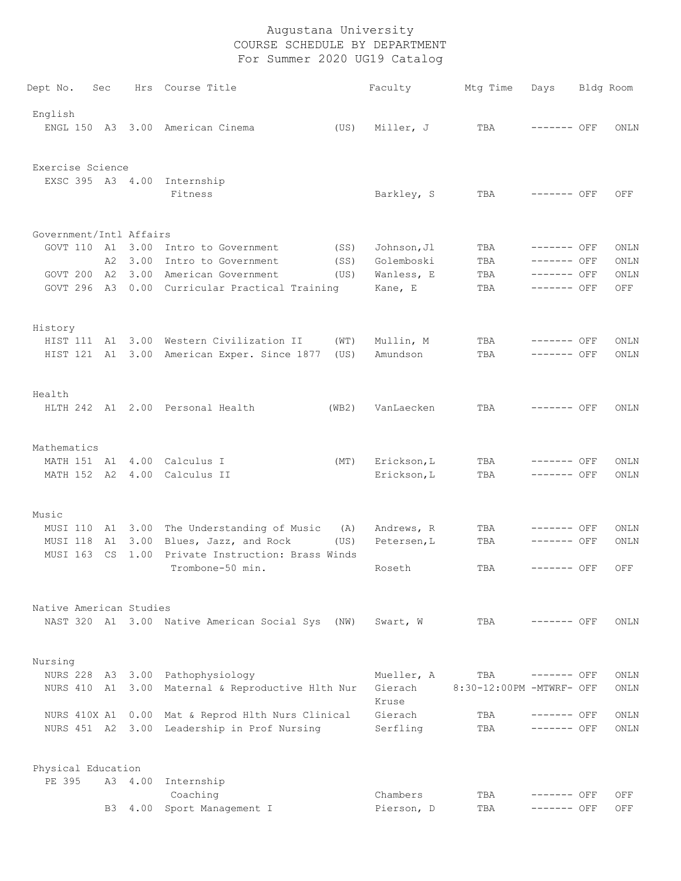| Dept No.                | Sec      |         | Hrs Course Title                                                       | Faculty                | Mtg Time                 | Days                        | Bldg Room  |
|-------------------------|----------|---------|------------------------------------------------------------------------|------------------------|--------------------------|-----------------------------|------------|
| English                 |          |         | ENGL 150 A3 3.00 American Cinema                                       |                        |                          | $------$ OFF                |            |
|                         |          |         | (US)                                                                   | Miller, J              | TBA                      |                             | ONLN       |
| Exercise Science        |          |         |                                                                        |                        |                          |                             |            |
|                         |          |         | EXSC 395 A3 4.00 Internship<br>Fitness                                 | Barkley, S             | TBA                      | ------- OFF                 | OFF        |
| Government/Intl Affairs |          |         |                                                                        |                        |                          |                             |            |
| GOVT 110 A1 3.00        |          |         | Intro to Government<br>(SS)                                            | Johnson, Jl            | TBA                      | ------- OFF                 | ONLN       |
|                         | A2       | 3.00    | Intro to Government<br>(SS)                                            | Golemboski             | TBA                      | ------- OFF                 | ONLN       |
| GOVT 200                |          | A2 3.00 | American Government<br>(US)                                            | Wanless, E             | TBA                      | ------- OFF                 | ONLN       |
|                         |          |         | GOVT 296 A3 0.00 Curricular Practical Training                         | Kane, E                | TBA                      | ------- OFF                 | OFF        |
| History                 |          |         |                                                                        |                        |                          |                             |            |
|                         |          |         | HIST 111 A1 3.00 Western Civilization II<br>(WT)                       | Mullin, M              | TBA                      | ------- OFF                 | ONLN       |
|                         |          |         | HIST 121 A1 3.00 American Exper. Since 1877<br>(US)                    | Amundson               | TBA                      | ------- OFF                 | ONLN       |
| Health                  |          |         |                                                                        |                        |                          |                             |            |
|                         |          |         | HLTH 242 A1 2.00 Personal Health<br>(WB2)                              | VanLaecken             | TBA                      | ------- OFF                 | ONLN       |
| Mathematics             |          |         |                                                                        |                        |                          |                             |            |
| MATH 151 A1             |          |         | 4.00 Calculus I<br>(MT)                                                | Erickson, L            | TBA                      | ------- OFF                 | ONLN       |
| MATH 152 A2             |          |         | 4.00 Calculus II                                                       | Erickson, L            | TBA                      | ------- OFF                 | ONLN       |
| Music                   |          |         |                                                                        |                        |                          |                             |            |
| MUSI 110                | - A1     |         | 3.00 The Understanding of Music<br>(A)                                 | Andrews, R             | TBA                      | ------- OFF                 | ONLN       |
| MUSI 118<br>MUSI 163    | A1<br>CS | 1.00    | 3.00 Blues, Jazz, and Rock<br>(US)<br>Private Instruction: Brass Winds | Petersen, L            | TBA                      | ------- OFF                 | ONLN       |
|                         |          |         | Trombone-50 min.                                                       | Roseth                 | TBA                      | $------$ OFF                | OFF        |
| Native American Studies |          |         |                                                                        |                        |                          |                             |            |
|                         |          |         | NAST 320 A1 3.00 Native American Social Sys (NW)                       | Swart, W               | TBA                      | $------$ OFF                | ONLN       |
| Nursing                 |          |         |                                                                        |                        |                          |                             |            |
|                         |          |         | NURS 228 A3 3.00 Pathophysiology                                       | Mueller, A             | TBA                      | $------$ OFF                | ONLN       |
|                         |          |         | NURS 410 A1 3.00 Maternal & Reproductive Hlth Nur                      | Gierach<br>Kruse       | 8:30-12:00PM -MTWRF- OFF |                             | ONLN       |
| NURS 410X A1            |          |         | 0.00 Mat & Reprod Hlth Nurs Clinical                                   | Gierach                | TBA                      | $------$ OFF                | ONLN       |
|                         |          |         | NURS 451 A2 3.00 Leadership in Prof Nursing                            | Serfling               | TBA                      | $------$ OFF                | ONLN       |
| Physical Education      |          |         |                                                                        |                        |                          |                             |            |
| PE 395                  |          | A3 4.00 | Internship                                                             |                        |                          |                             |            |
|                         | B3       | 4.00    | Coaching<br>Sport Management I                                         | Chambers<br>Pierson, D | TBA<br>TBA               | $------$ OFF<br>------- OFF | OFF<br>OFF |
|                         |          |         |                                                                        |                        |                          |                             |            |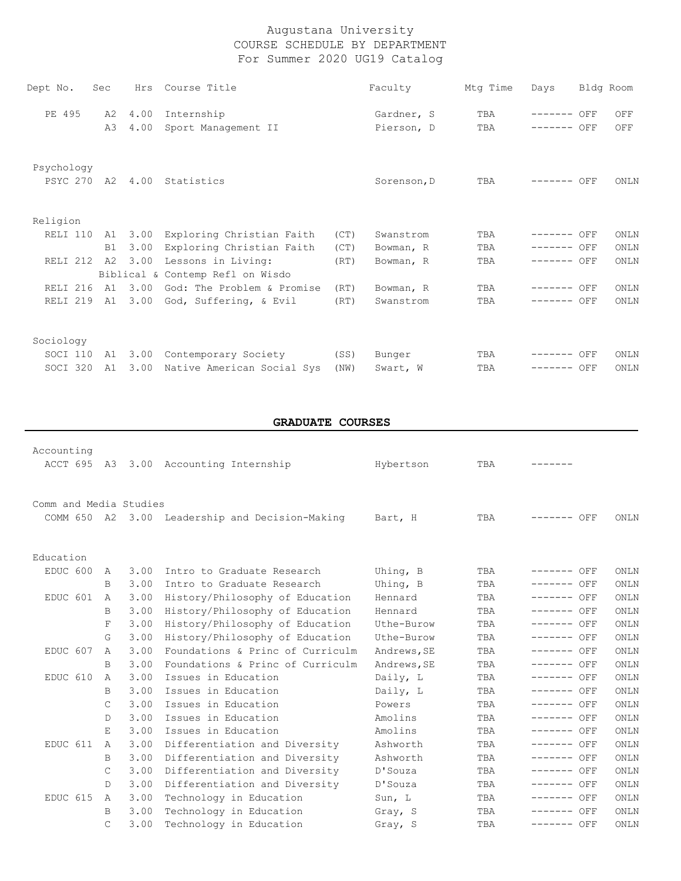| Dept No.            | Sec | Hrs  | Course Title                     |      | Faculty     | Mtg Time | Days         | Bldg Room |             |
|---------------------|-----|------|----------------------------------|------|-------------|----------|--------------|-----------|-------------|
| PE 495              | A2  | 4.00 | Internship                       |      | Gardner, S  | TBA      | ------- OFF  |           | OFF         |
|                     | A3  | 4.00 | Sport Management II              |      | Pierson, D  | TBA      | $------$ OFF |           | OFF         |
| Psychology          |     |      |                                  |      |             |          |              |           |             |
|                     |     |      | PSYC 270 A2 4.00 Statistics      |      | Sorenson, D | TBA      | $------$ OFF |           | ONLN        |
|                     |     |      |                                  |      |             |          |              |           |             |
| Religion            |     |      |                                  |      |             |          |              |           |             |
| RELI 110            | A1  | 3.00 | Exploring Christian Faith        | (CT) | Swanstrom   | TBA      | ------- OFF  |           | ONLN        |
|                     | B1  | 3.00 | Exploring Christian Faith        | (CT) | Bowman, R   | TBA      | $------$ OFF |           | <b>ONLN</b> |
| RELI 212            | A2  | 3.00 | Lessons in Living:               | (RT) | Bowman, R   | TBA      | $------$ OFF |           | <b>ONLN</b> |
|                     |     |      | Biblical & Contemp Refl on Wisdo |      |             |          |              |           |             |
| RELI <sub>216</sub> | A1  | 3.00 | God: The Problem & Promise       | (RT) | Bowman, R   | TBA      | ------- OFF  |           | ONLN        |
| RELI <sub>219</sub> | A1  | 3.00 | God, Suffering, & Evil           | (RT) | Swanstrom   | TBA      | ------- OFF  |           | <b>ONLN</b> |
| Sociology           |     |      |                                  |      |             |          |              |           |             |
| SOCI 110            | A1  | 3.00 | Contemporary Society             | (SS) | Bunger      | TBA      | ------- OFF  |           | ONLN        |
| SOCI 320            | A1  | 3.00 | Native American Social Sys       | (NW) | Swart, W    | TBA      | $------$ OFF |           | <b>ONLN</b> |
|                     |     |      |                                  |      |             |          |              |           |             |

# **GRADUATE COURSES**

| Accounting             |              |      |                                                 |             |     |              |      |
|------------------------|--------------|------|-------------------------------------------------|-------------|-----|--------------|------|
|                        |              |      | ACCT 695 A3 3.00 Accounting Internship          | Hybertson   | TBA |              |      |
|                        |              |      |                                                 |             |     |              |      |
| Comm and Media Studies |              |      |                                                 |             |     |              |      |
|                        |              |      |                                                 |             |     |              |      |
|                        |              |      | COMM 650 A2 3.00 Leadership and Decision-Making | Bart, H     | TBA | ------- OFF  | ONLN |
|                        |              |      |                                                 |             |     |              |      |
| Education              |              |      |                                                 |             |     |              |      |
| EDUC 600               | A            | 3.00 | Intro to Graduate Research                      | Uhing, B    | TBA | ------- OFF  | ONLN |
|                        | B            | 3.00 | Intro to Graduate Research                      | Uhing, B    | TBA | ------- OFF  | ONLN |
| EDUC 601               | A            | 3.00 | History/Philosophy of Education                 | Hennard     | TBA | ------- OFF  | ONLN |
|                        | B            | 3.00 | History/Philosophy of Education                 | Hennard     | TBA | $------$ OFF | ONLN |
|                        | F            | 3.00 | History/Philosophy of Education                 | Uthe-Burow  | TBA | $------$ OFF | ONLN |
|                        | G.           | 3.00 | History/Philosophy of Education                 | Uthe-Burow  | TBA | $------$ OFF | ONLN |
| EDUC 607               | $\mathsf{A}$ | 3.00 | Foundations & Princ of Curriculm                | Andrews, SE | TBA | ------- OFF  | ONLN |
|                        | B            | 3.00 | Foundations & Princ of Curriculm                | Andrews, SE | TBA | $------$ OFF | ONLN |
| EDUC 610               | A            | 3.00 | Issues in Education                             | Daily, L    | TBA | ------- OFF  | ONLN |
|                        | B            | 3.00 | Issues in Education                             | Daily, L    | TBA | $------$ OFF | ONLN |
|                        | C            | 3.00 | Issues in Education                             | Powers      | TBA | $------$ OFF | ONLN |
|                        | D            | 3.00 | Issues in Education                             | Amolins     | TBA | ------- OFF  | ONLN |
|                        | $E_{\perp}$  | 3.00 | Issues in Education                             | Amolins     | TBA | $------$ OFF | ONLN |
| EDUC 611               | A            | 3.00 | Differentiation and Diversity                   | Ashworth    | TBA | $------$ OFF | ONLN |
|                        | B            | 3.00 | Differentiation and Diversity                   | Ashworth    | TBA | $------$ OFF | ONLN |
|                        | C            | 3.00 | Differentiation and Diversity                   | D'Souza     | TBA | $-----$ OFF  | ONLN |
|                        | D            | 3.00 | Differentiation and Diversity                   | D'Souza     | TBA | $------$ OFF | ONLN |
| EDUC 615               | A            | 3.00 | Technology in Education                         | Sun, L      | TBA | $------$ OFF | ONLN |
|                        | B            | 3.00 | Technology in Education                         | Gray, S     | TBA | ------- OFF  | ONLN |
|                        | C            | 3.00 | Technology in Education                         | Gray, S     | TBA | ------- OFF  | ONLN |